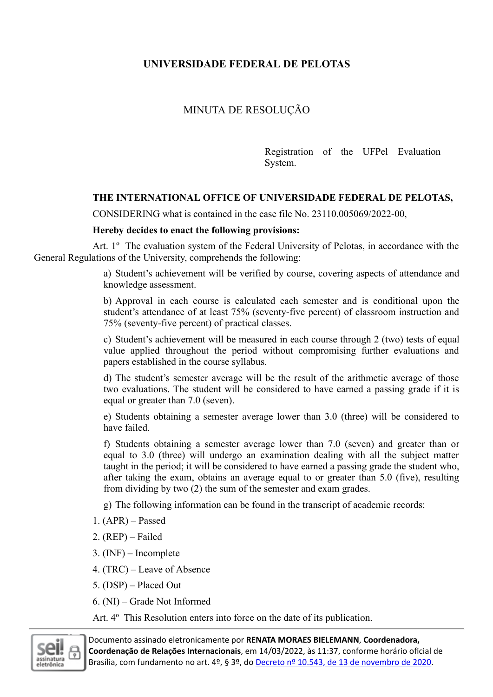## **UNIVERSIDADE FEDERAL DE PELOTAS**

## MINUTA DE RESOLUÇÃO

Registration of the UFPel Evaluation System.

## **THE INTERNATIONAL OFFICE OF UNIVERSIDADE FEDERAL DE PELOTAS,**

CONSIDERING what is contained in the case file No. 23110.005069/2022-00,

## **Hereby decides to enact the following provisions:**

Art. 1º The evaluation system of the Federal University of Pelotas, in accordance with the General Regulations of the University, comprehends the following:

> a) Student's achievement will be verified by course, covering aspects of attendance and knowledge assessment.

> b) Approval in each course is calculated each semester and is conditional upon the student's attendance of at least 75% (seventy-five percent) of classroom instruction and 75% (seventy-five percent) of practical classes.

> c) Student's achievement will be measured in each course through 2 (two) tests of equal value applied throughout the period without compromising further evaluations and papers established in the course syllabus.

> d) The student's semester average will be the result of the arithmetic average of those two evaluations. The student will be considered to have earned a passing grade if it is equal or greater than 7.0 (seven).

> e) Students obtaining a semester average lower than 3.0 (three) will be considered to have failed.

> f) Students obtaining a semester average lower than 7.0 (seven) and greater than or equal to 3.0 (three) will undergo an examination dealing with all the subject matter taught in the period; it will be considered to have earned a passing grade the student who, after taking the exam, obtains an average equal to or greater than 5.0 (five), resulting from dividing by two (2) the sum of the semester and exam grades.

g) The following information can be found in the transcript of academic records:

- 1. (APR) Passed
- 2. (REP) Failed
- 3. (INF) Incomplete
- 4. (TRC) Leave of Absence
- 5. (DSP) Placed Out
- 6. (NI) Grade Not Informed

Art. 4º This Resolution enters into force on the date of its publication.



Documento assinado eletronicamente por **RENATA MORAES BIELEMANN**, **Coordenadora, Coordenação de Relações Internacionais**, em 14/03/2022, às 11:37, conforme horário oficial de Brasília, com fundamento no art. 4º, § 3º, do Decreto nº 10.543, de 13 de [novembro](http://www.planalto.gov.br/ccivil_03/_Ato2019-2022/2020/decreto/D10543.htm) de 2020.